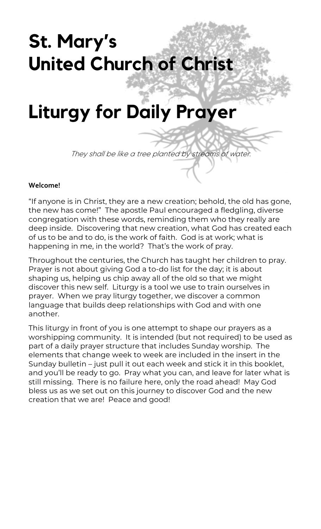# **St. Mary's United Church of Christ**

## **Liturgy for Daily Prayer**

They shall be like a tree planted by streams of water.

#### **Welcome!**

"If anyone is in Christ, they are a new creation; behold, the old has gone, the new has come!" The apostle Paul encouraged a fledgling, diverse congregation with these words, reminding them who they really are deep inside. Discovering that new creation, what God has created each of us to be and to do, is the work of faith. God is at work; what is happening in me, in the world? That's the work of pray.

Throughout the centuries, the Church has taught her children to pray. Prayer is not about giving God a to-do list for the day; it is about shaping us, helping us chip away all of the old so that we might discover this new self. Liturgy is a tool we use to train ourselves in prayer. When we pray liturgy together, we discover a common language that builds deep relationships with God and with one another.

This liturgy in front of you is one attempt to shape our prayers as a worshipping community. It is intended (but not required) to be used as part of a daily prayer structure that includes Sunday worship. The elements that change week to week are included in the insert in the Sunday bulletin – just pull it out each week and stick it in this booklet, and you'll be ready to go. Pray what you can, and leave for later what is still missing. There is no failure here, only the road ahead! May God bless us as we set out on this journey to discover God and the new creation that we are! Peace and good!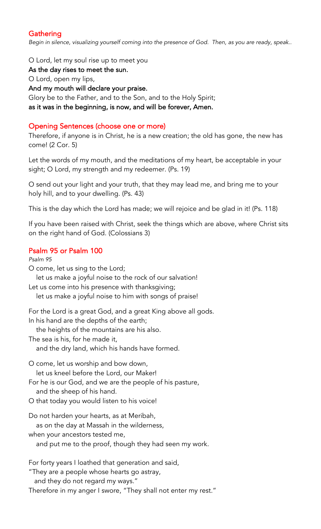## **Gathering**

*Begin in silence, visualizing yourself coming into the presence of God. Then, as you are ready, speak..*

O Lord, let my soul rise up to meet you

As the day rises to meet the sun.

O Lord, open my lips,

And my mouth will declare your praise.

Glory be to the Father, and to the Son, and to the Holy Spirit;

as it was in the beginning, is now, and will be forever, Amen.

#### Opening Sentences (choose one or more)

Therefore, if anyone is in Christ, he is a new creation; the old has gone, the new has come! (2 Cor. 5)

Let the words of my mouth, and the meditations of my heart, be acceptable in your sight; O Lord, my strength and my redeemer. (Ps. 19)

O send out your light and your truth, that they may lead me, and bring me to your holy hill, and to your dwelling. (Ps. 43)

This is the day which the Lord has made; we will rejoice and be glad in it! (Ps. 118)

If you have been raised with Christ, seek the things which are above, where Christ sits on the right hand of God. (Colossians 3)

#### Psalm 95 or Psalm 100

*Psalm 95* O come, let us sing to the Lord; let us make a joyful noise to the rock of our salvation! Let us come into his presence with thanksgiving; let us make a joyful noise to him with songs of praise! For the Lord is a great God, and a great King above all gods. In his hand are the depths of the earth; the heights of the mountains are his also. The sea is his, for he made it, and the dry land, which his hands have formed. O come, let us worship and bow down, let us kneel before the Lord, our Maker! For he is our God, and we are the people of his pasture, and the sheep of his hand. O that today you would listen to his voice! Do not harden your hearts, as at Meribah, as on the day at Massah in the wilderness, when your ancestors tested me, and put me to the proof, though they had seen my work. For forty years I loathed that generation and said, "They are a people whose hearts go astray, and they do not regard my ways."

Therefore in my anger I swore, "They shall not enter my rest."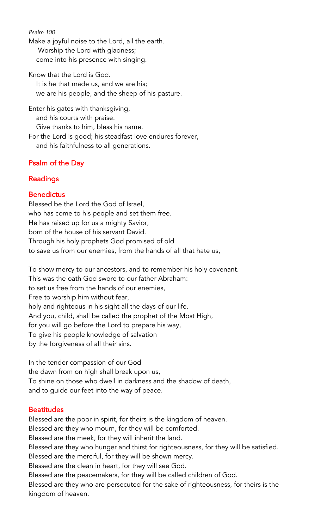*Psalm 100* Make a joyful noise to the Lord, all the earth. Worship the Lord with gladness; come into his presence with singing.

Know that the Lord is God. It is he that made us, and we are his; we are his people, and the sheep of his pasture.

Enter his gates with thanksgiving, and his courts with praise. Give thanks to him, bless his name. For the Lord is good; his steadfast love endures forever, and his faithfulness to all generations.

## Psalm of the Day

## Readings

## **Benedictus**

Blessed be the Lord the God of Israel, who has come to his people and set them free. He has raised up for us a mighty Savior, born of the house of his servant David. Through his holy prophets God promised of old to save us from our enemies, from the hands of all that hate us,

To show mercy to our ancestors, and to remember his holy covenant. This was the oath God swore to our father Abraham: to set us free from the hands of our enemies, Free to worship him without fear, holy and righteous in his sight all the days of our life. And you, child, shall be called the prophet of the Most High, for you will go before the Lord to prepare his way, To give his people knowledge of salvation by the forgiveness of all their sins.

In the tender compassion of our God the dawn from on high shall break upon us, To shine on those who dwell in darkness and the shadow of death, and to guide our feet into the way of peace.

### **Beatitudes**

Blessed are the poor in spirit, for theirs is the kingdom of heaven. Blessed are they who mourn, for they will be comforted. Blessed are the meek, for they will inherit the land. Blessed are they who hunger and thirst for righteousness, for they will be satisfied. Blessed are the merciful, for they will be shown mercy. Blessed are the clean in heart, for they will see God. Blessed are the peacemakers, for they will be called children of God. Blessed are they who are persecuted for the sake of righteousness, for theirs is the kingdom of heaven.